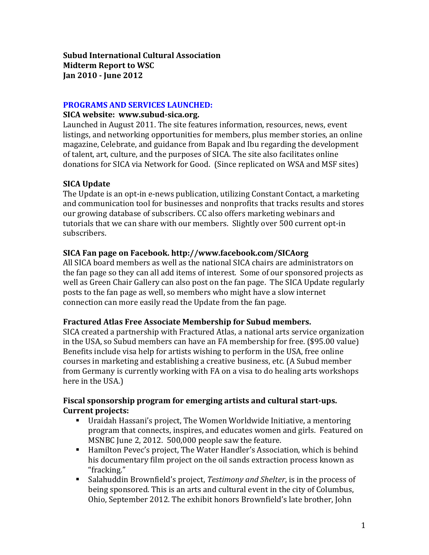#### **PROGRAMS AND SERVICES LAUNCHED:**

#### **SICA website: www.subud-sica.org.**

Launched in August 2011. The site features information, resources, news, event listings, and networking opportunities for members, plus member stories, an online magazine, Celebrate, and guidance from Bapak and Ibu regarding the development of talent, art, culture, and the purposes of SICA. The site also facilitates online donations for SICA via Network for Good. (Since replicated on WSA and MSF sites)

# **SICA Update**

The Update is an opt-in e-news publication, utilizing Constant Contact, a marketing and communication tool for businesses and nonprofits that tracks results and stores our growing database of subscribers. CC also offers marketing webinars and tutorials that we can share with our members. Slightly over 500 current opt-in subscribers.

## **SICA Fan page on Facebook. http://www.facebook.com/SICAorg**

All SICA board members as well as the national SICA chairs are administrators on the fan page so they can all add items of interest. Some of our sponsored projects as well as Green Chair Gallery can also post on the fan page. The SICA Update regularly posts to the fan page as well, so members who might have a slow internet connection can more easily read the Update from the fan page.

## **Fractured Atlas Free Associate Membership for Subud members.**

SICA created a partnership with Fractured Atlas, a national arts service organization in the USA, so Subud members can have an FA membership for free. (\$95.00 value) Benefits include visa help for artists wishing to perform in the USA, free online courses in marketing and establishing a creative business, etc. (A Subud member from Germany is currently working with FA on a visa to do healing arts workshops here in the USA.)

## **Fiscal sponsorship program for emerging artists and cultural start-ups. Current projects:**

- Uraidah Hassani's project, The Women Worldwide Initiative, a mentoring program that connects, inspires, and educates women and girls. Featured on MSNBC June 2, 2012. 500,000 people saw the feature.
- Hamilton Pevec's project, The Water Handler's Association, which is behind his documentary film project on the oil sands extraction process known as "fracking."
- Salahuddin Brownfield's project, *Testimony and Shelter*, is in the process of being sponsored. This is an arts and cultural event in the city of Columbus, Ohio, September 2012. The exhibit honors Brownfield's late brother, John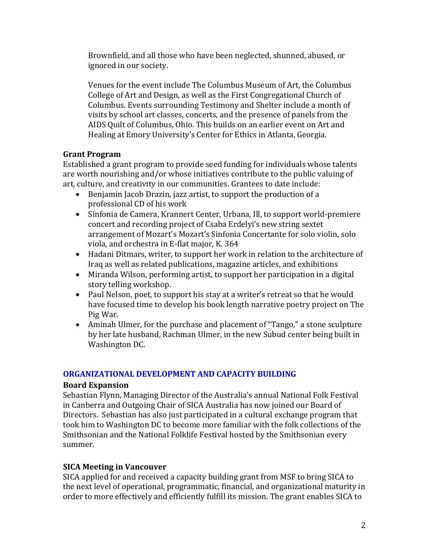Brownfield, and all those who have been neglected, shunned, abused, or ignored in our society.

Venues for the event include The Columbus Museum of Art, the Columbus College of Art and Design, as well as the First Congregational Church of Columbus. Events surrounding Testimony and Shelter include a month of visits by school art classes, concerts, and the presence of panels from the AIDS Quilt of Columbus, Ohio. This builds on an earlier event on Art and Healing at Emory University's Center for Ethics in Atlanta, Georgia.

#### **Grant Program**

Established a grant program to provide seed funding for individuals whose talents are worth nourishing and/or whose initiatives contribute to the public valuing of art, culture, and creativity in our communities. Grantees to date include:

- Benjamin Jacob Drazin, jazz artist, to support the production of a professional CD of his work
- Sinfonia de Camera, Krannert Center, Urbana, Ill, to support world-premiere concert and recording project of Csaba Erdelyi's new string sextet arrangement of Mozart's Mozart's Sinfonia Concertante for solo violin, solo viola, and orchestra in E-flat major, K. 364
- Hadani Ditmars, writer, to support her work in relation to the architecture of Iraq as well as related publications, magazine articles, and exhibitions
- Miranda Wilson, performing artist, to support her participation in a digital story telling workshop.
- Paul Nelson, poet, to support his stay at a writer's retreat so that he would have focused time to develop his book length narrative poetry project on The Pig War.
- Aminah Ulmer, for the purchase and placement of "Tango," a stone sculpture by her late husband, Rachman Ulmer, in the new Subud center being built in Washington DC.

## **ORGANIZATIONAL DEVELOPMENT AND CAPACITY BUILDING**

#### **Board Expansion**

Sebastian Flynn, Managing Director of the Australia's annual National Folk Festival in Canberra and Outgoing Chair of SICA Australia has now joined our Board of Directors. Sebastian has also just participated in a cultural exchange program that took him to Washington DC to become more familiar with the folk collections of the Smithsonian and the National Folklife Festival hosted by the Smithsonian every summer.

## **SICA Meeting in Vancouver**

SICA applied for and received a capacity building grant from MSF to bring SICA to the next level of operational, programmatic, financial, and organizational maturity in order to more effectively and efficiently fulfill its mission. The grant enables SICA to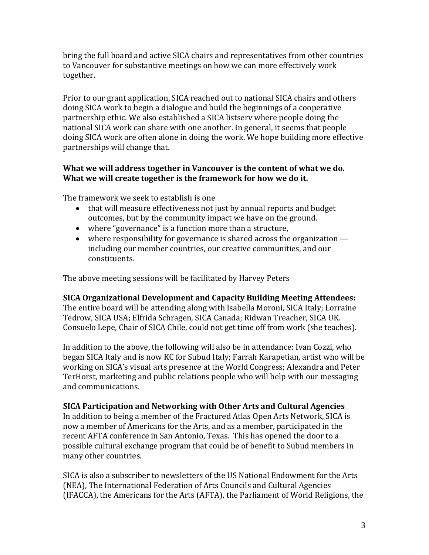bring the full board and active SICA chairs and representatives from other countries to Vancouver for substantive meetings on how we can more effectively work together.

Prior to our grant application, SICA reached out to national SICA chairs and others doing SICA work to begin a dialogue and build the beginnings of a cooperative partnership ethic. We also established a SICA listserv where people doing the national SICA work can share with one another. In general, it seems that people doing SICA work are often alone in doing the work. We hope building more effective partnerships will change that.

#### **What we will address together in Vancouver is the content of what we do. What we will create together is the framework for how we do it.**

The framework we seek to establish is one

- that will measure effectiveness not just by annual reports and budget outcomes, but by the community impact we have on the ground.
- where "governance" is a function more than a structure,
- where responsibility for governance is shared across the organization including our member countries, our creative communities, and our constituents.

The above meeting sessions will be facilitated by Harvey Peters

**SICA Organizational Development and Capacity Building Meeting Attendees:**

The entire board will be attending along with Isabella Moroni, SICA Italy; Lorraine Tedrow, SICA USA; Elfrida Schragen, SICA Canada; Ridwan Treacher, SICA UK. Consuelo Lepe, Chair of SICA Chile, could not get time off from work (she teaches).

In addition to the above, the following will also be in attendance: Ivan Cozzi, who began SICA Italy and is now KC for Subud Italy; Farrah Karapetian, artist who will be working on SICA's visual arts presence at the World Congress; Alexandra and Peter TerHorst, marketing and public relations people who will help with our messaging and communications.

**SICA Participation and Networking with Other Arts and Cultural Agencies**

In addition to being a member of the Fractured Atlas Open Arts Network, SICA is now a member of Americans for the Arts, and as a member, participated in the recent AFTA conference in San Antonio, Texas. This has opened the door to a possible cultural exchange program that could be of benefit to Subud members in many other countries.

SICA is also a subscriber to newsletters of the US National Endowment for the Arts (NEA), The International Federation of Arts Councils and Cultural Agencies (IFACCA), the Americans for the Arts (AFTA), the Parliament of World Religions, the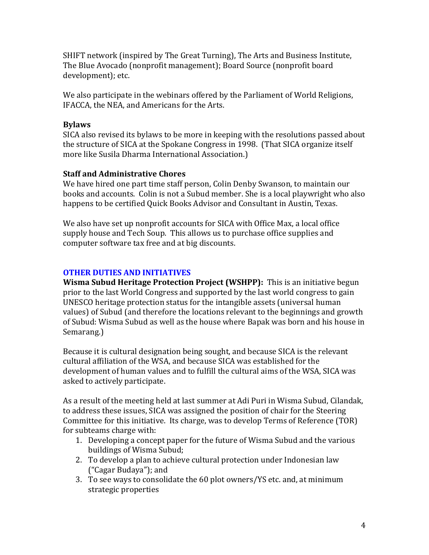SHIFT network (inspired by The Great Turning), The Arts and Business Institute, The Blue Avocado (nonprofit management); Board Source (nonprofit board development); etc.

We also participate in the webinars offered by the Parliament of World Religions, IFACCA, the NEA, and Americans for the Arts.

# **Bylaws**

SICA also revised its bylaws to be more in keeping with the resolutions passed about the structure of SICA at the Spokane Congress in 1998. (That SICA organize itself more like Susila Dharma International Association.)

## **Staff and Administrative Chores**

We have hired one part time staff person, Colin Denby Swanson, to maintain our books and accounts. Colin is not a Subud member. She is a local playwright who also happens to be certified Quick Books Advisor and Consultant in Austin, Texas.

We also have set up nonprofit accounts for SICA with Office Max, a local office supply house and Tech Soup. This allows us to purchase office supplies and computer software tax free and at big discounts.

# **OTHER DUTIES AND INITIATIVES**

**Wisma Subud Heritage Protection Project (WSHPP):** This is an initiative begun prior to the last World Congress and supported by the last world congress to gain UNESCO heritage protection status for the intangible assets (universal human values) of Subud (and therefore the locations relevant to the beginnings and growth of Subud: Wisma Subud as well as the house where Bapak was born and his house in Semarang.)

Because it is cultural designation being sought, and because SICA is the relevant cultural affiliation of the WSA, and because SICA was established for the development of human values and to fulfill the cultural aims of the WSA, SICA was asked to actively participate.

As a result of the meeting held at last summer at Adi Puri in Wisma Subud, Cilandak, to address these issues, SICA was assigned the position of chair for the Steering Committee for this initiative. Its charge, was to develop Terms of Reference (TOR) for subteams charge with:

- 1. Developing a concept paper for the future of Wisma Subud and the various buildings of Wisma Subud;
- 2. To develop a plan to achieve cultural protection under Indonesian law ("Cagar Budaya"); and
- 3. To see ways to consolidate the 60 plot owners/YS etc. and, at minimum strategic properties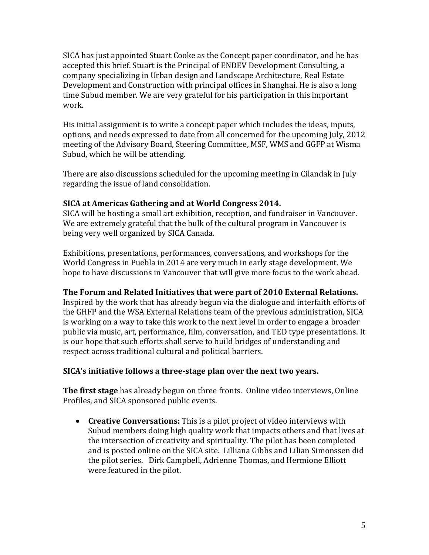SICA has just appointed Stuart Cooke as the Concept paper coordinator, and he has accepted this brief. Stuart is the Principal of ENDEV Development Consulting, a company specializing in Urban design and Landscape Architecture, Real Estate Development and Construction with principal offices in Shanghai. He is also a long time Subud member. We are very grateful for his participation in this important work.

His initial assignment is to write a concept paper which includes the ideas, inputs, options, and needs expressed to date from all concerned for the upcoming July, 2012 meeting of the Advisory Board, Steering Committee, MSF, WMS and GGFP at Wisma Subud, which he will be attending.

There are also discussions scheduled for the upcoming meeting in Cilandak in July regarding the issue of land consolidation.

## **SICA at Americas Gathering and at World Congress 2014.**

SICA will be hosting a small art exhibition, reception, and fundraiser in Vancouver. We are extremely grateful that the bulk of the cultural program in Vancouver is being very well organized by SICA Canada.

Exhibitions, presentations, performances, conversations, and workshops for the World Congress in Puebla in 2014 are very much in early stage development. We hope to have discussions in Vancouver that will give more focus to the work ahead.

#### **The Forum and Related Initiatives that were part of 2010 External Relations.**

Inspired by the work that has already begun via the dialogue and interfaith efforts of the GHFP and the WSA External Relations team of the previous administration, SICA is working on a way to take this work to the next level in order to engage a broader public via music, art, performance, film, conversation, and TED type presentations. It is our hope that such efforts shall serve to build bridges of understanding and respect across traditional cultural and political barriers.

## **SICA's initiative follows a three-stage plan over the next two years.**

**The first stage** has already begun on three fronts. Online video interviews, Online Profiles, and SICA sponsored public events.

 **Creative Conversations:** This is a pilot project of video interviews with Subud members doing high quality work that impacts others and that lives at the intersection of creativity and spirituality. The pilot has been completed and is posted online on the SICA site. Lilliana Gibbs and Lilian Simonssen did the pilot series. Dirk Campbell, Adrienne Thomas, and Hermione Elliott were featured in the pilot.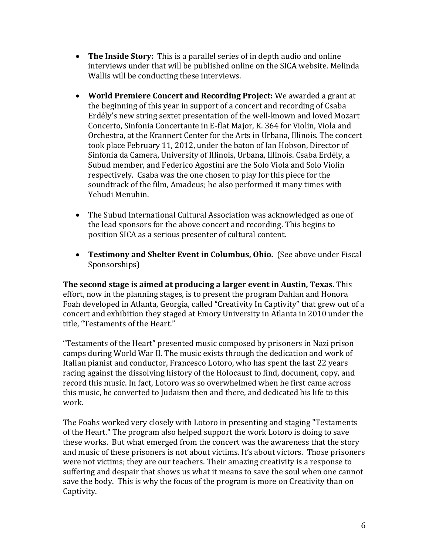- **The Inside Story:** This is a parallel series of in depth audio and online interviews under that will be published online on the SICA website. Melinda Wallis will be conducting these interviews.
- **World Premiere Concert and Recording Project:** We awarded a grant at the beginning of this year in support of a concert and recording of Csaba Erdély's new string sextet presentation of the well-known and loved Mozart Concerto, Sinfonia Concertante in E-flat Major, K. 364 for Violin, Viola and Orchestra, at the Krannert Center for the Arts in Urbana, Illinois. The concert took place February 11, 2012, under the baton of Ian Hobson, Director of Sinfonia da Camera, University of Illinois, Urbana, Illinois. Csaba Erdély, a Subud member, and Federico Agostini are the Solo Viola and Solo Violin respectively. Csaba was the one chosen to play for this piece for the soundtrack of the film, Amadeus; he also performed it many times with Yehudi Menuhin.
- The Subud International Cultural Association was acknowledged as one of the lead sponsors for the above concert and recording. This begins to position SICA as a serious presenter of cultural content.
- **Testimony and Shelter Event in Columbus, Ohio.** (See above under Fiscal Sponsorships)

**The second stage is aimed at producing a larger event in Austin, Texas.** This effort, now in the planning stages, is to present the program Dahlan and Honora Foah developed in Atlanta, Georgia, called "Creativity In Captivity" that grew out of a concert and exhibition they staged at Emory University in Atlanta in 2010 under the title, "Testaments of the Heart."

"Testaments of the Heart" presented music composed by prisoners in Nazi prison camps during World War II. The music exists through the dedication and work of Italian pianist and conductor, Francesco Lotoro, who has spent the last 22 years racing against the dissolving history of the Holocaust to find, document, copy, and record this music. In fact, Lotoro was so overwhelmed when he first came across this music, he converted to Judaism then and there, and dedicated his life to this work.

The Foahs worked very closely with Lotoro in presenting and staging "Testaments of the Heart." The program also helped support the work Lotoro is doing to save these works. But what emerged from the concert was the awareness that the story and music of these prisoners is not about victims. It's about victors. Those prisoners were not victims; they are our teachers. Their amazing creativity is a response to suffering and despair that shows us what it means to save the soul when one cannot save the body. This is why the focus of the program is more on Creativity than on Captivity.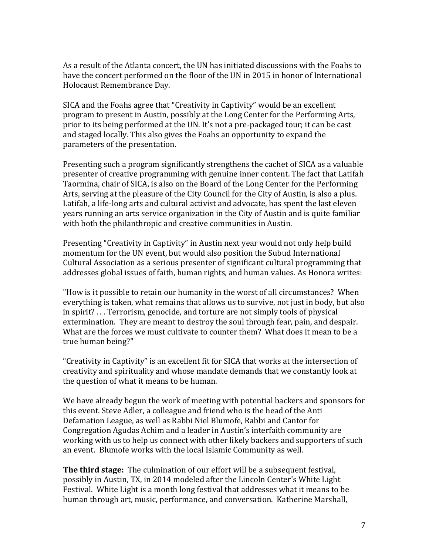As a result of the Atlanta concert, the UN has initiated discussions with the Foahs to have the concert performed on the floor of the UN in 2015 in honor of International Holocaust Remembrance Day.

SICA and the Foahs agree that "Creativity in Captivity" would be an excellent program to present in Austin, possibly at the Long Center for the Performing Arts, prior to its being performed at the UN. It's not a pre-packaged tour; it can be cast and staged locally. This also gives the Foahs an opportunity to expand the parameters of the presentation.

Presenting such a program significantly strengthens the cachet of SICA as a valuable presenter of creative programming with genuine inner content. The fact that Latifah Taormina, chair of SICA, is also on the Board of the Long Center for the Performing Arts, serving at the pleasure of the City Council for the City of Austin, is also a plus. Latifah, a life-long arts and cultural activist and advocate, has spent the last eleven years running an arts service organization in the City of Austin and is quite familiar with both the philanthropic and creative communities in Austin.

Presenting "Creativity in Captivity" in Austin next year would not only help build momentum for the UN event, but would also position the Subud International Cultural Association as a serious presenter of significant cultural programming that addresses global issues of faith, human rights, and human values. As Honora writes:

"How is it possible to retain our humanity in the worst of all circumstances? When everything is taken, what remains that allows us to survive, not just in body, but also in spirit? . . . Terrorism, genocide, and torture are not simply tools of physical extermination. They are meant to destroy the soul through fear, pain, and despair. What are the forces we must cultivate to counter them? What does it mean to be a true human being?"

"Creativity in Captivity" is an excellent fit for SICA that works at the intersection of creativity and spirituality and whose mandate demands that we constantly look at the question of what it means to be human.

We have already begun the work of meeting with potential backers and sponsors for this event. Steve Adler, a colleague and friend who is the head of the Anti Defamation League, as well as Rabbi Niel Blumofe, Rabbi and Cantor for Congregation Agudas Achim and a leader in Austin's interfaith community are working with us to help us connect with other likely backers and supporters of such an event. Blumofe works with the local Islamic Community as well.

**The third stage:** The culmination of our effort will be a subsequent festival, possibly in Austin, TX, in 2014 modeled after the Lincoln Center's White Light Festival. White Light is a month long festival that addresses what it means to be human through art, music, performance, and conversation. Katherine Marshall,